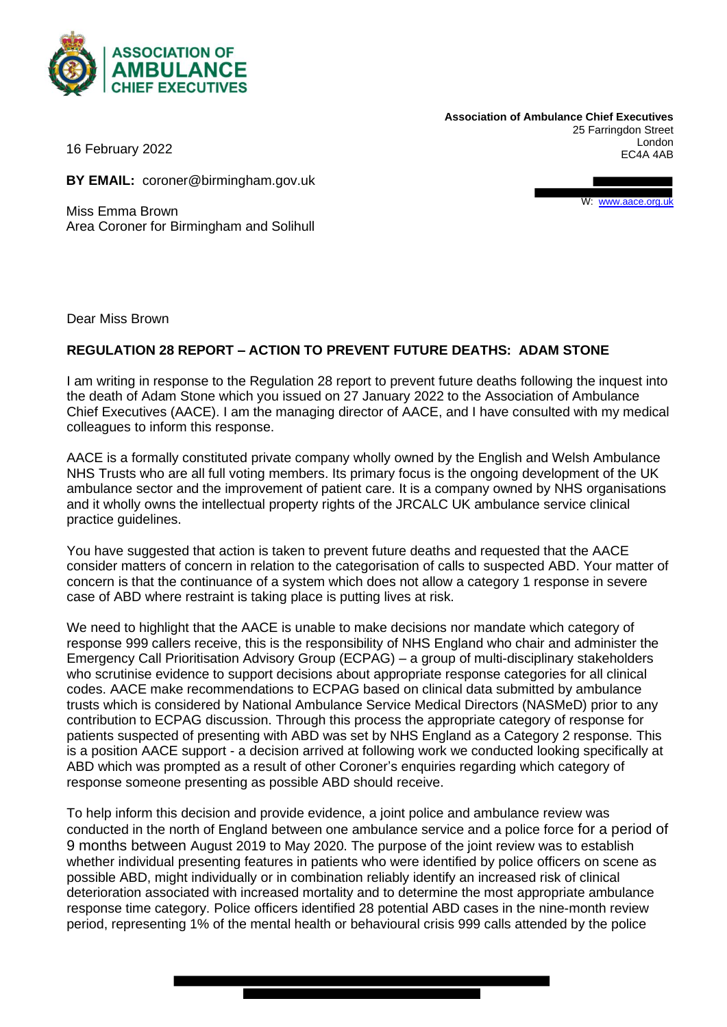

**Association of Ambulance Chief Executives** 25 Farringdon Street London EC4A 4AB

16 February 2022

**BY EMAIL:** coroner@birmingham.gov.uk

Miss Emma Brown Area Coroner for Birmingham and Solihull W: [www.aace.org.uk](http://www.aace.org.uk/)

Dear Miss Brown

## **REGULATION 28 REPORT – ACTION TO PREVENT FUTURE DEATHS: ADAM STONE**

I am writing in response to the Regulation 28 report to prevent future deaths following the inquest into the death of Adam Stone which you issued on 27 January 2022 to the Association of Ambulance Chief Executives (AACE). I am the managing director of AACE, and I have consulted with my medical colleagues to inform this response.

AACE is a formally constituted private company wholly owned by the English and Welsh Ambulance NHS Trusts who are all full voting members. Its primary focus is the ongoing development of the UK ambulance sector and the improvement of patient care. It is a company owned by NHS organisations and it wholly owns the intellectual property rights of the JRCALC UK ambulance service clinical practice guidelines.

You have suggested that action is taken to prevent future deaths and requested that the AACE consider matters of concern in relation to the categorisation of calls to suspected ABD. Your matter of concern is that the continuance of a system which does not allow a category 1 response in severe case of ABD where restraint is taking place is putting lives at risk.

We need to highlight that the AACE is unable to make decisions nor mandate which category of response 999 callers receive, this is the responsibility of NHS England who chair and administer the Emergency Call Prioritisation Advisory Group (ECPAG) – a group of multi-disciplinary stakeholders who scrutinise evidence to support decisions about appropriate response categories for all clinical codes. AACE make recommendations to ECPAG based on clinical data submitted by ambulance trusts which is considered by National Ambulance Service Medical Directors (NASMeD) prior to any contribution to ECPAG discussion. Through this process the appropriate category of response for patients suspected of presenting with ABD was set by NHS England as a Category 2 response. This is a position AACE support - a decision arrived at following work we conducted looking specifically at ABD which was prompted as a result of other Coroner's enquiries regarding which category of response someone presenting as possible ABD should receive.

To help inform this decision and provide evidence, a joint police and ambulance review was conducted in the north of England between one ambulance service and a police force for a period of 9 months between August 2019 to May 2020. The purpose of the joint review was to establish whether individual presenting features in patients who were identified by police officers on scene as possible ABD, might individually or in combination reliably identify an increased risk of clinical deterioration associated with increased mortality and to determine the most appropriate ambulance response time category. Police officers identified 28 potential ABD cases in the nine-month review period, representing 1% of the mental health or behavioural crisis 999 calls attended by the police